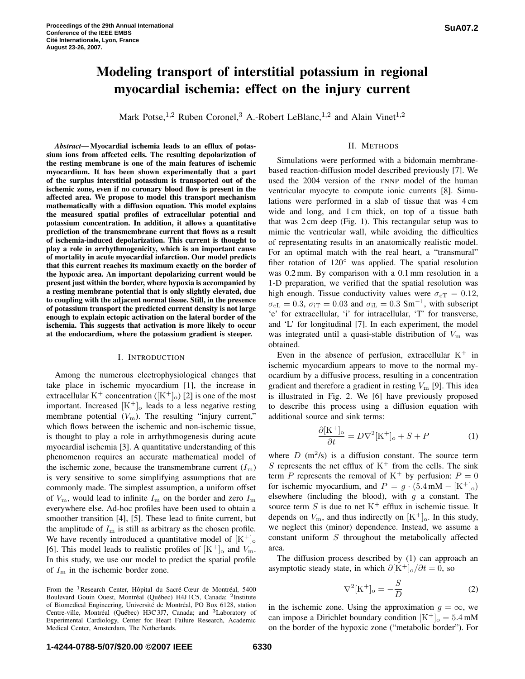# **Modeling transport of interstitial potassium in regional myocardial ischemia: effect on the injury current**

Mark Potse,<sup>1,2</sup> Ruben Coronel,<sup>3</sup> A.-Robert LeBlanc,<sup>1,2</sup> and Alain Vinet<sup>1,2</sup>

## II. METHODS

*Abstract***—Myocardial ischemia leads to an efflux of potassium ions from affected cells. The resulting depolarization of the resting membrane is one of the main features of ischemic myocardium. It has been shown experimentally that a part of the surplus interstitial potassium is transported out of the ischemic zone, even if no coronary blood flow is present in the affected area. We propose to model this transport mechanism mathematically with a diffusion equation. This model explains the measured spatial profiles of extracellular potential and potassium concentration. In addition, it allows a quantitative prediction of the transmembrane current that flows as a result of ischemia-induced depolarization. This current is thought to play a role in arrhythmogenicity, which is an important cause of mortality in acute myocardial infarction. Our model predicts that this current reaches its maximum exactly on the border of the hypoxic area. An important depolarizing current would be present just within the border, where hypoxia is accompanied by a resting membrane potential that is only slightly elevated, due to coupling with the adjacent normal tissue. Still, in the presence of potassium transport the predicted current density is not large enough to explain ectopic activation on the lateral border of the ischemia. This suggests that activation is more likely to occur at the endocardium, where the potassium gradient is steeper.**

### I. INTRODUCTION

Among the numerous electrophysiological changes that take place in ischemic myocardium [1], the increase in extracellular K<sup>+</sup> concentration ( $[K^+]_0$ ) [2] is one of the most important. Increased  $[K^+]$ <sub>o</sub> leads to a less negative resting membrane potential  $(V<sub>m</sub>)$ . The resulting "injury current," which flows between the ischemic and non-ischemic tissue, is thought to play a role in arrhythmogenesis during acute myocardial ischemia [3]. A quantitative understanding of this phenomenon requires an accurate mathematical model of the ischemic zone, because the transmembrane current  $(I<sub>m</sub>)$ is very sensitive to some simplifying assumptions that are commonly made. The simplest assumption, a uniform offset of  $V_{\text{m}}$ , would lead to infinite  $I_{\text{m}}$  on the border and zero  $I_{\text{m}}$ everywhere else. Ad-hoc profiles have been used to obtain a smoother transition [4], [5]. These lead to finite current, but the amplitude of  $I<sub>m</sub>$  is still as arbitrary as the chosen profile. We have recently introduced a quantitative model of  $[K^+]$ <sub>o</sub> [6]. This model leads to realistic profiles of  $[K^+]_0$  and  $V_m$ . In this study, we use our model to predict the spatial profile of  $I<sub>m</sub>$  in the ischemic border zone.

Simulations were performed with a bidomain membranebased reaction-diffusion model described previously [7]. We used the 2004 version of the TNNP model of the human ventricular myocyte to compute ionic currents [8]. Simulations were performed in a slab of tissue that was 4 cm wide and long, and 1 cm thick, on top of a tissue bath that was 2 cm deep (Fig. 1). This rectangular setup was to mimic the ventricular wall, while avoiding the difficulties of representating results in an anatomically realistic model. For an optimal match with the real heart, a "transmural" fiber rotation of 120◦ was applied. The spatial resolution was 0.2 mm. By comparison with a 0.1 mm resolution in a 1-D preparation, we verified that the spatial resolution was high enough. Tissue conductivity values were  $\sigma_{\text{eT}} = 0.12$ ,  $\sigma_{eL} = 0.3$ ,  $\sigma_{iT} = 0.03$  and  $\sigma_{iL} = 0.3$  Sm<sup>-1</sup>, with subscript 'e' for extracellular, 'i' for intracellular, 'T' for transverse, and 'L' for longitudinal [7]. In each experiment, the model was integrated until a quasi-stable distribution of  $V<sub>m</sub>$  was obtained.

Even in the absence of perfusion, extracellular  $K^+$  in ischemic myocardium appears to move to the normal myocardium by a diffusive process, resulting in a concentration gradient and therefore a gradient in resting  $V<sub>m</sub>$  [9]. This idea is illustrated in Fig. 2. We [6] have previously proposed to describe this process using a diffusion equation with additional source and sink terms:

$$
\frac{\partial[\mathbf{K}^+]_{\text{o}}}{\partial t} = D\nabla^2[\mathbf{K}^+]_{\text{o}} + S + P \tag{1}
$$

where  $D$  (m<sup>2</sup>/s) is a diffusion constant. The source term S represents the net efflux of  $K^+$  from the cells. The sink term P represents the removal of  $K^+$  by perfusion:  $P = 0$ for ischemic myocardium, and  $P = g \cdot (5.4 \text{ mM} - [K^+]_{0})$ elsewhere (including the blood), with  $q$  a constant. The source term S is due to net  $K^+$  efflux in ischemic tissue. It depends on  $V_{\text{m}}$ , and thus indirectly on  $[K^+]_0$ . In this study, we neglect this (minor) dependence. Instead, we assume a constant uniform S throughout the metabolically affected area.

The diffusion process described by (1) can approach an asymptotic steady state, in which  $\partial [K^+]_0 / \partial t = 0$ , so

$$
\nabla^2[\mathbf{K}^+]_0 = -\frac{S}{D} \tag{2}
$$

in the ischemic zone. Using the approximation  $g = \infty$ , we can impose a Dirichlet boundary condition  $[K^+]_0 = 5.4 \text{ mM}$ on the border of the hypoxic zone ("metabolic border"). For

From the <sup>1</sup>Research Center, Hôpital du Sacré-Cœur de Montréal, 5400 Boulevard Gouin Ouest, Montréal (Québec) H4J 1C5, Canada; <sup>2</sup>Institute of Biomedical Engineering, Université de Montréal, PO Box 6128, station Centre-ville, Montréal (Québec) H3C3J7, Canada; and <sup>3</sup>Laboratory of Experimental Cardiology, Center for Heart Failure Research, Academic Medical Center, Amsterdam, The Netherlands.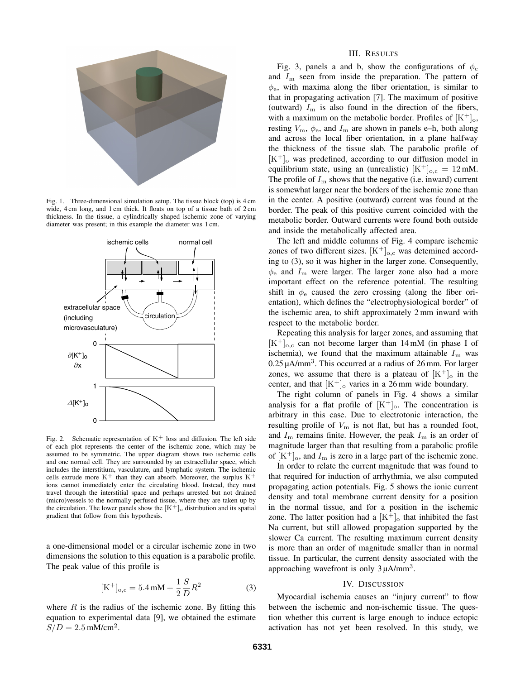

Fig. 1. Three-dimensional simulation setup. The tissue block (top) is 4 cm wide, 4 cm long, and 1 cm thick. It floats on top of a tissue bath of 2 cm thickness. In the tissue, a cylindrically shaped ischemic zone of varying diameter was present; in this example the diameter was 1 cm.



Fig. 2. Schematic representation of  $K^+$  loss and diffusion. The left side of each plot represents the center of the ischemic zone, which may be assumed to be symmetric. The upper diagram shows two ischemic cells and one normal cell. They are surrounded by an extracellular space, which includes the interstitium, vasculature, and lymphatic system. The ischemic cells extrude more  $K^+$  than they can absorb. Moreover, the surplus  $K^+$ ions cannot immediately enter the circulating blood. Instead, they must travel through the interstitial space and perhaps arrested but not drained (micro)vessels to the normally perfused tissue, where they are taken up by the circulation. The lower panels show the  $[K^+]_o$  distribution and its spatial gradient that follow from this hypothesis.

a one-dimensional model or a circular ischemic zone in two dimensions the solution to this equation is a parabolic profile. The peak value of this profile is

$$
[\text{K}^+]_{\text{o,c}} = 5.4 \,\text{m} \text{M} + \frac{1}{2} \frac{S}{D} R^2 \tag{3}
$$

where  $R$  is the radius of the ischemic zone. By fitting this equation to experimental data [9], we obtained the estimate  $S/D = 2.5$  mM/cm<sup>2</sup>.

#### III. RESULTS

Fig. 3, panels a and b, show the configurations of  $\phi_e$ and  $I_{\rm m}$  seen from inside the preparation. The pattern of  $\phi_e$ , with maxima along the fiber orientation, is similar to that in propagating activation [7]. The maximum of positive (outward)  $I_{\rm m}$  is also found in the direction of the fibers, with a maximum on the metabolic border. Profiles of  $[K^+]_0$ , resting  $V_{\rm m}$ ,  $\phi_{\rm e}$ , and  $I_{\rm m}$  are shown in panels e–h, both along and across the local fiber orientation, in a plane halfway the thickness of the tissue slab. The parabolic profile of  $[K^+]$ <sub>o</sub> was predefined, according to our diffusion model in equilibrium state, using an (unrealistic)  $[K^+]_{o,c} = 12$  mM. The profile of  $I<sub>m</sub>$  shows that the negative (i.e. inward) current is somewhat larger near the borders of the ischemic zone than in the center. A positive (outward) current was found at the border. The peak of this positive current coincided with the metabolic border. Outward currents were found both outside and inside the metabolically affected area.

The left and middle columns of Fig. 4 compare ischemic zones of two different sizes.  $[K^+]_{o,c}$  was detemined according to (3), so it was higher in the larger zone. Consequently,  $\phi_e$  and  $I_m$  were larger. The larger zone also had a more important effect on the reference potential. The resulting shift in  $\phi_e$  caused the zero crossing (along the fiber orientation), which defines the "electrophysiological border" of the ischemic area, to shift approximately 2 mm inward with respect to the metabolic border.

Repeating this analysis for larger zones, and assuming that  $[K^+]$ <sub>o,c</sub> can not become larger than 14 mM (in phase I of ischemia), we found that the maximum attainable  $I<sub>m</sub>$  was  $0.25 \mu A/mm^3$ . This occurred at a radius of 26 mm. For larger zones, we assume that there is a plateau of  $[K^+]_0$  in the center, and that  $[K^+]_o$  varies in a 26 mm wide boundary.

The right column of panels in Fig. 4 shows a similar analysis for a flat profile of  $[K^+]_0$ . The concentration is arbitrary in this case. Due to electrotonic interaction, the resulting profile of  $V_m$  is not flat, but has a rounded foot, and  $I_{\rm m}$  remains finite. However, the peak  $I_{\rm m}$  is an order of magnitude larger than that resulting from a parabolic profile of  $[K^+]_0$ , and  $I_m$  is zero in a large part of the ischemic zone.

In order to relate the current magnitude that was found to that required for induction of arrhythmia, we also computed propagating action potentials. Fig. 5 shows the ionic current density and total membrane current density for a position in the normal tissue, and for a position in the ischemic zone. The latter position had a  $[K^+]$ <sub>o</sub> that inhibited the fast Na current, but still allowed propagation supported by the slower Ca current. The resulting maximum current density is more than an order of magnitude smaller than in normal tissue. In particular, the current density associated with the approaching wavefront is only  $3 \mu$ A/mm<sup>3</sup>.

#### IV. DISCUSSION

Myocardial ischemia causes an "injury current" to flow between the ischemic and non-ischemic tissue. The question whether this current is large enough to induce ectopic activation has not yet been resolved. In this study, we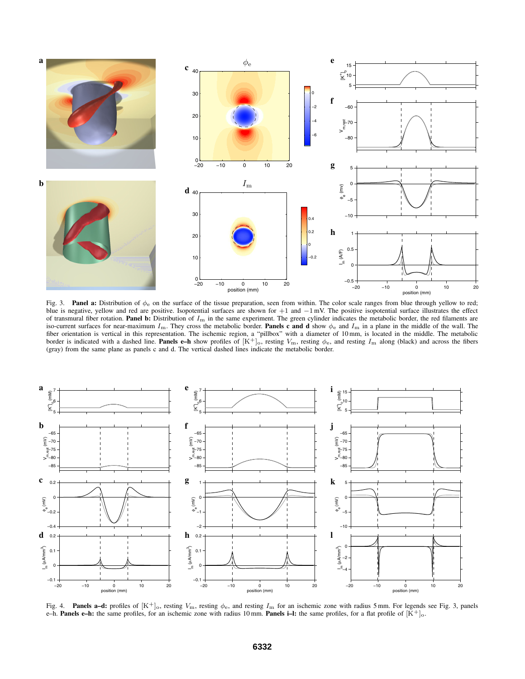

Fig. 3. **Panel a:** Distribution of  $\phi_e$  on the surface of the tissue preparation, seen from within. The color scale ranges from blue through yellow to red; blue is negative, yellow and red are positive. Isopotential surfaces are shown for +1 and −1 mV. The positive isopotential surface illustrates the effect of transmural fiber rotation. Panel b: Distribution of  $I<sub>m</sub>$  in the same experiment. The green cylinder indicates the metabolic border, the red filaments are iso-current surfaces for near-maximum  $I_m$ . They cross the metabolic border. **Panels c and d** show  $\phi_e$  and  $I_m$  in a plane in the middle of the wall. The fiber orientation is vertical in this representation. The ischemic region, a "pillbox" with a diameter of 10 mm, is located in the middle. The metabolic<br>border is indicated with a dashed line. **Panels e–h** show profiles o (gray) from the same plane as panels c and d. The vertical dashed lines indicate the metabolic border.



Fig. 4. **Panels a–d:** profiles of  $[K^+]_0$ , resting  $V_m$ , resting  $\phi_e$ , and resting  $I_m$  for an ischemic zone with radius 5 mm. For legends see Fig. 3, panels e–h. **Panels e–h:** the same profiles, for an ischemic zone with radius 10 mm. **Panels i–l:** the same profiles, for a flat profile of  $[K^+]_0$ .